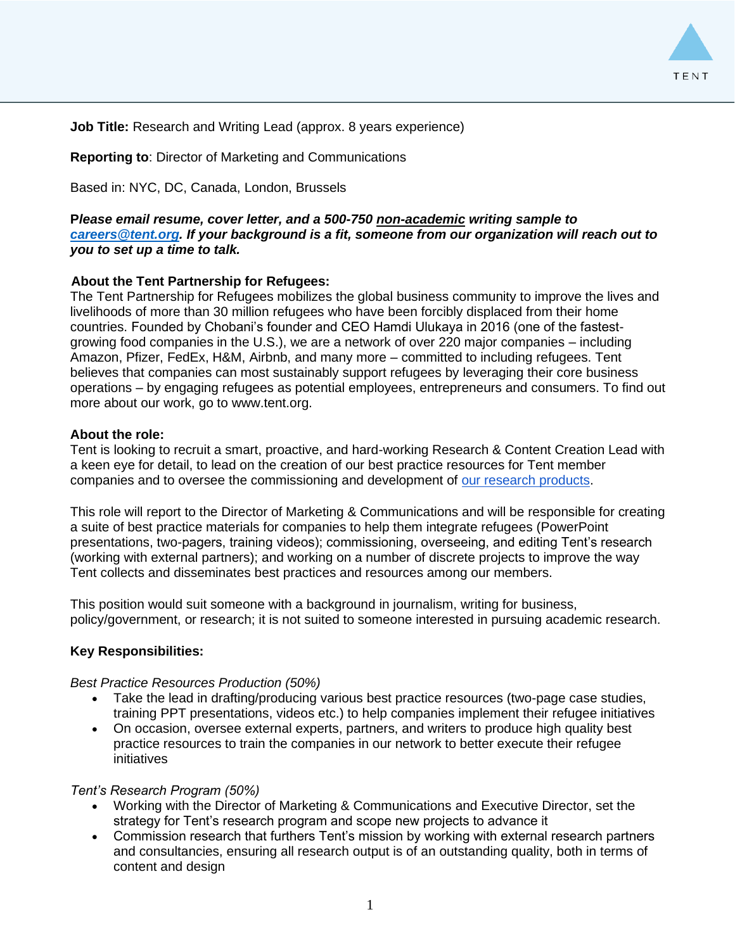

**Job Title:** Research and Writing Lead (approx. 8 years experience)

# **Reporting to**: Director of Marketing and Communications

Based in: NYC, DC, Canada, London, Brussels

# **P***lease email resume, cover letter, and a 500-750 non-academic writing sample to [careers@tent.org.](mailto:careers@tent.org) If your background is a fit, someone from our organization will reach out to you to set up a time to talk.*

## **About the Tent Partnership for Refugees:**

The Tent Partnership for Refugees mobilizes the global business community to improve the lives and livelihoods of more than 30 million refugees who have been forcibly displaced from their home countries. Founded by Chobani's founder and CEO Hamdi Ulukaya in 2016 (one of the fastestgrowing food companies in the U.S.), we are a network of over 220 major companies – including Amazon, Pfizer, FedEx, H&M, Airbnb, and many more – committed to including refugees. Tent believes that companies can most sustainably support refugees by leveraging their core business operations – by engaging refugees as potential employees, entrepreneurs and consumers. To find out more about our work, go to www.tent.org.

#### **About the role:**

Tent is looking to recruit a smart, proactive, and hard-working Research & Content Creation Lead with a keen eye for detail, to lead on the creation of our best practice resources for Tent member companies and to oversee the commissioning and development of [our research products.](http://tent.org/resources)

This role will report to the Director of Marketing & Communications and will be responsible for creating a suite of best practice materials for companies to help them integrate refugees (PowerPoint presentations, two-pagers, training videos); commissioning, overseeing, and editing Tent's research (working with external partners); and working on a number of discrete projects to improve the way Tent collects and disseminates best practices and resources among our members.

This position would suit someone with a background in journalism, writing for business, policy/government, or research; it is not suited to someone interested in pursuing academic research.

### **Key Responsibilities:**

### *Best Practice Resources Production (50%)*

- Take the lead in drafting/producing various best practice resources (two-page case studies, training PPT presentations, videos etc.) to help companies implement their refugee initiatives
- On occasion, oversee external experts, partners, and writers to produce high quality best practice resources to train the companies in our network to better execute their refugee initiatives

### *Tent's Research Program (50%)*

- Working with the Director of Marketing & Communications and Executive Director, set the strategy for Tent's research program and scope new projects to advance it
- Commission research that furthers Tent's mission by working with external research partners and consultancies, ensuring all research output is of an outstanding quality, both in terms of content and design